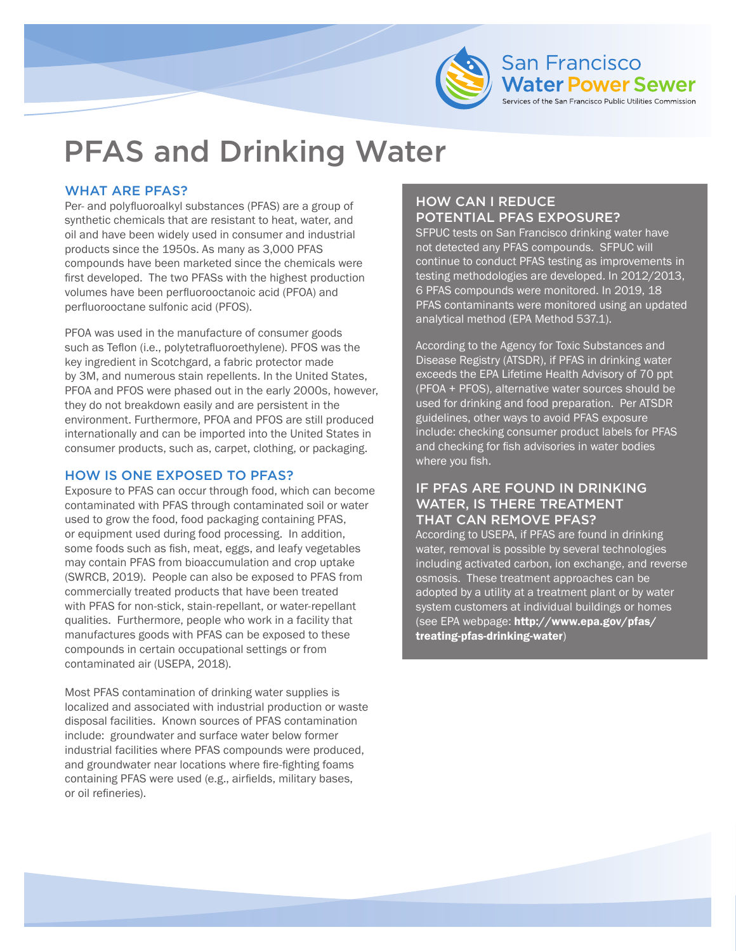

# PFAS and Drinking Water

## WHAT ARE PFAS?

Per- and polyfluoroalkyl substances (PFAS) are a group of synthetic chemicals that are resistant to heat, water, and oil and have been widely used in consumer and industrial products since the 1950s. As many as 3,000 PFAS compounds have been marketed since the chemicals were first developed. The two PFASs with the highest production volumes have been perfluorooctanoic acid (PFOA) and perfluorooctane sulfonic acid (PFOS).

PFOA was used in the manufacture of consumer goods such as Teflon (i.e., polytetrafluoroethylene). PFOS was the key ingredient in Scotchgard, a fabric protector made by 3M, and numerous stain repellents. In the United States, PFOA and PFOS were phased out in the early 2000s, however, they do not breakdown easily and are persistent in the environment. Furthermore, PFOA and PFOS are still produced internationally and can be imported into the United States in consumer products, such as, carpet, clothing, or packaging.

### HOW IS ONE EXPOSED TO PFAS?

Exposure to PFAS can occur through food, which can become contaminated with PFAS through contaminated soil or water used to grow the food, food packaging containing PFAS, or equipment used during food processing. In addition, some foods such as fish, meat, eggs, and leafy vegetables may contain PFAS from bioaccumulation and crop uptake (SWRCB, 2019). People can also be exposed to PFAS from commercially treated products that have been treated with PFAS for non-stick, stain-repellant, or water-repellant qualities. Furthermore, people who work in a facility that manufactures goods with PFAS can be exposed to these compounds in certain occupational settings or from contaminated air (USEPA, 2018).

Most PFAS contamination of drinking water supplies is localized and associated with industrial production or waste disposal facilities. Known sources of PFAS contamination include: groundwater and surface water below former industrial facilities where PFAS compounds were produced, and groundwater near locations where fire-fighting foams containing PFAS were used (e.g., airfields, military bases, or oil refineries).

# HOW CAN I REDUCE POTENTIAL PFAS EXPOSURE?

SFPUC tests on San Francisco drinking water have not detected any PFAS compounds. SFPUC will continue to conduct PFAS testing as improvements in testing methodologies are developed. In 2012/2013, 6 PFAS compounds were monitored. In 2019, 18 PFAS contaminants were monitored using an updated analytical method (EPA Method 537.1).

of the San Francisco Public Utilities Commission

According to the Agency for Toxic Substances and Disease Registry (ATSDR), if PFAS in drinking water exceeds the EPA Lifetime Health Advisory of 70 ppt (PFOA + PFOS), alternative water sources should be used for drinking and food preparation. Per ATSDR guidelines, other ways to avoid PFAS exposure include: checking consumer product labels for PFAS and checking for fish advisories in water bodies where you fish.

#### IF PFAS ARE FOUND IN DRINKING WATER, IS THERE TREATMENT THAT CAN REMOVE PFAS?

According to USEPA, if PFAS are found in drinking water, removal is possible by several technologies including activated carbon, ion exchange, and reverse osmosis. These treatment approaches can be adopted by a utility at a treatment plant or by water system customers at individual buildings or homes (see EPA webpage: <http://www.epa.gov/pfas/> treating-pfas-drinking-water)